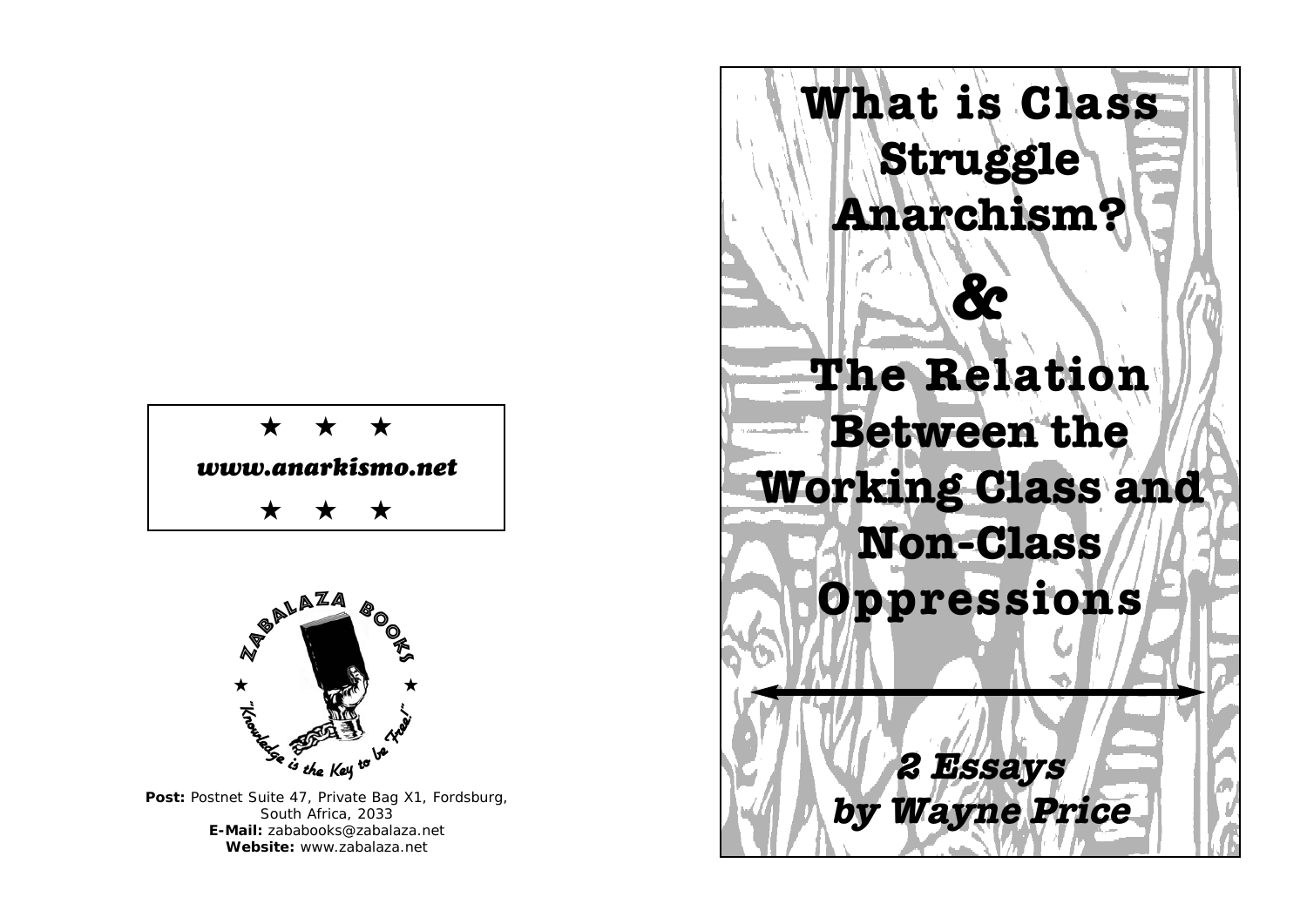



Post: Postnet Suite 47, Private Bag X1, Fordsburg, South Africa, 2033 **E-Mail:** zababooks@zabalaza.net **Website:** www.zabalaza.net

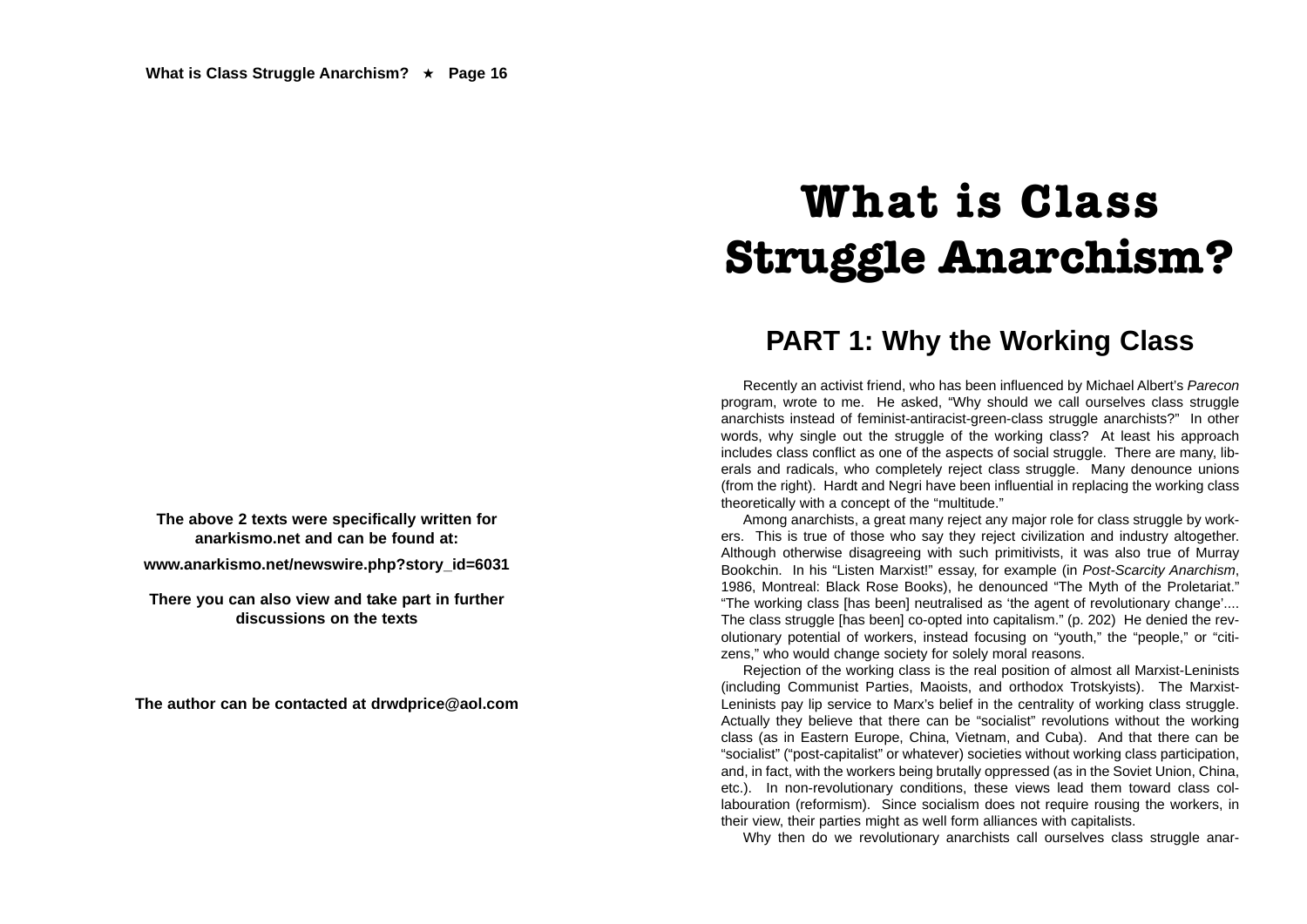**The above 2 texts were specifically written for anarkismo.net and can be found at:**

**www.anarkismo.net/newswire.php?story\_id=6031**

**There you can also view and take part in further discussions on the texts**

**The author can be contacted at drwdprice@aol.com**

## **What is Class Struggle Anarchism?**

### **PART 1: Why the Working Class**

Recently an activist friend, who has been influenced by Michael Albert's *Parecon* program, wrote to me. He asked, "Why should we call ourselves class struggle anarchists instead of feminist-antiracist-green-class struggle anarchists?" In other words, why single out the struggle of the working class? At least his approach includes class conflict as one of the aspects of social struggle. There are many, liberals and radicals, who completely reject class struggle. Many denounce unions (from the right). Hardt and Negri have been influential in replacing the working class theoretically with a concept of the "multitude."

Among anarchists, a great many reject any major role for class struggle by workers. This is true of those who say they reject civilization and industry altogether. Although otherwise disagreeing with such primitivists, it was also true of Murray Bookchin. In his "Listen Marxist!" essay, for example (in *Post-Scarcity Anarchism*, 1986, Montreal: Black Rose Books), he denounced "The Myth of the Proletariat." "The working class [has been] neutralised as 'the agent of revolutionary change'.... The class struggle [has been] co-opted into capitalism." (p. 202) He denied the revolutionary potential of workers, instead focusing on "youth," the "people," or "citizens," who would change society for solely moral reasons.

Rejection of the working class is the real position of almost all Marxist-Leninists (including Communist Parties, Maoists, and orthodox Trotskyists). The Marxist-Leninists pay lip service to Marx's belief in the centrality of working class struggle. Actually they believe that there can be "socialist" revolutions without the working class (as in Eastern Europe, China, Vietnam, and Cuba). And that there can be "socialist" ("post-capitalist" or whatever) societies without working class participation, and, in fact, with the workers being brutally oppressed (as in the Soviet Union, China, etc.). In non-revolutionary conditions, these views lead them toward class collabouration (reformism). Since socialism does not require rousing the workers, in their view, their parties might as well form alliances with capitalists.

Why then do we revolutionary anarchists call ourselves class struggle anar-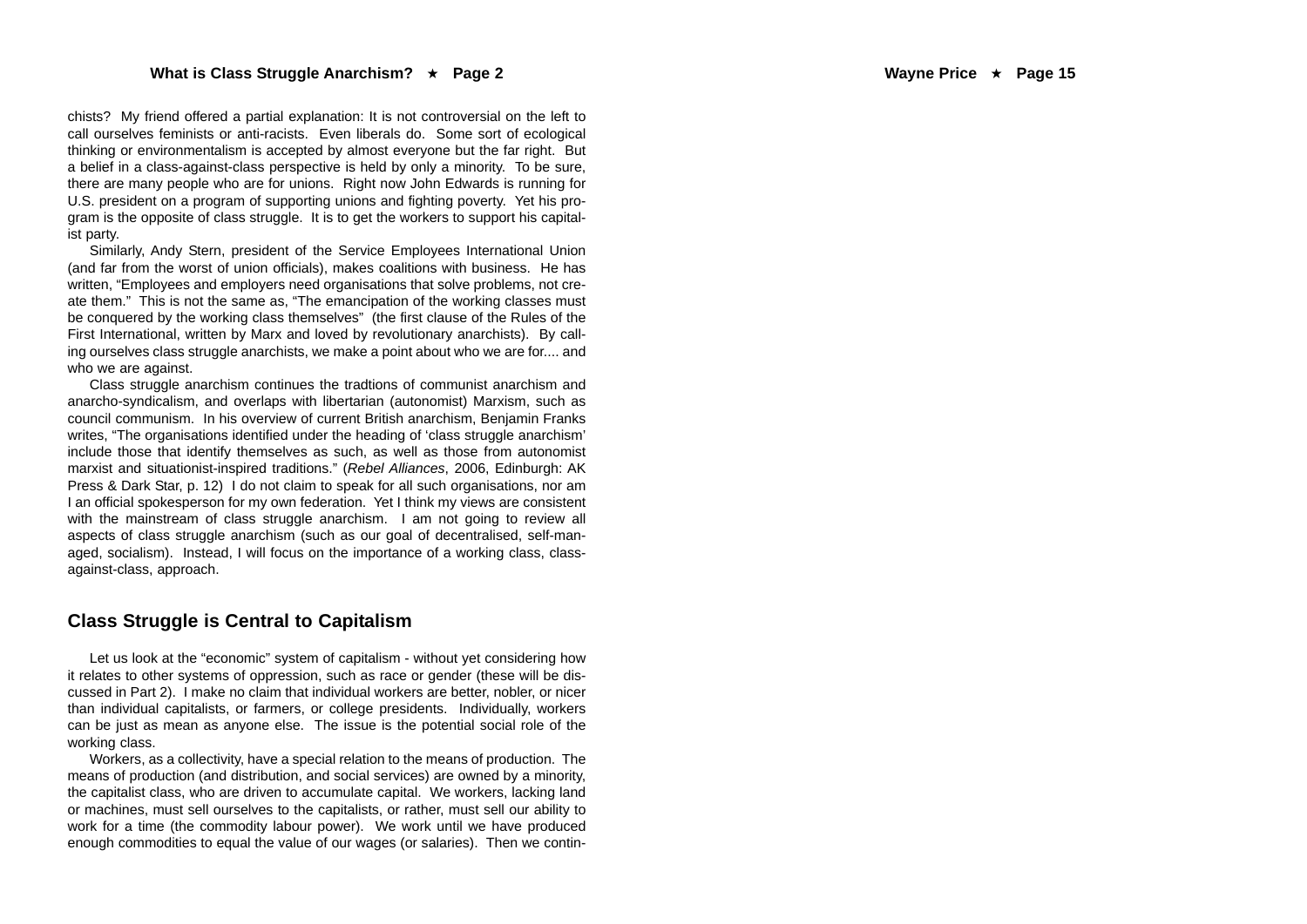chists? My friend offered a partial explanation: It is not controversial on the left to call ourselves feminists or anti-racists. Even liberals do. Some sort of ecological thinking or environmentalism is accepted by almost everyone but the far right. But a belief in a class-against-class perspective is held by only a minority. To be sure, there are many people who are for unions. Right now John Edwards is running for U.S. president on a program of supporting unions and fighting poverty. Yet his program is the opposite of class struggle. It is to get the workers to support his capitalist party.

Similarly, Andy Stern, president of the Service Employees International Union (and far from the worst of union officials), makes coalitions with business. He has written, "Employees and employers need organisations that solve problems, not create them." This is not the same as, "The emancipation of the working classes must be conquered by the working class themselves" (the first clause of the Rules of the First International, written by Marx and loved by revolutionary anarchists). By calling ourselves class struggle anarchists, we make a point about who we are for..., and who we are against.

Class struggle anarchism continues the tradtions of communist anarchism and anarcho-syndicalism, and overlaps with libertarian (autonomist) Marxism, such as council communism. In his overview of current British anarchism, Benjamin Franks writes, "The organisations identified under the heading of 'class struggle anarchism' include those that identify themselves as such, as well as those from autonomist marxist and situationist-inspired traditions." (*Rebel Alliances*, 2006, Edinburgh: AK Press & Dark Star, p. 12) I do not claim to speak for all such organisations, nor am I an official spokesperson for my own federation. Yet I think my views are consistent with the mainstream of class struggle anarchism. I am not going to review all aspects of class struggle anarchism (such as our goal of decentralised, self-managed, socialism). Instead, I will focus on the importance of a working class, classagainst-class, approach.

#### **Class Struggle is Central to Capitalism**

Let us look at the "economic" system of capitalism - without yet considering how it relates to other systems of oppression, such as race or gender (these will be discussed in Part 2). I make no claim that individual workers are better, nobler, or nicer than individual capitalists, or farmers, or college presidents. Individually, workers can be just as mean as anyone else. The issue is the potential social role of the working class.

Workers, as a collectivity, have a special relation to the means of production. The means of production (and distribution, and social services) are owned by a minority, the capitalist class, who are driven to accumulate capital. We workers, lacking land or machines, must sell ourselves to the capitalists, or rather, must sell our ability to work for a time (the commodity labour power). We work until we have produced enough commodities to equal the value of our wages (or salaries). Then we contin-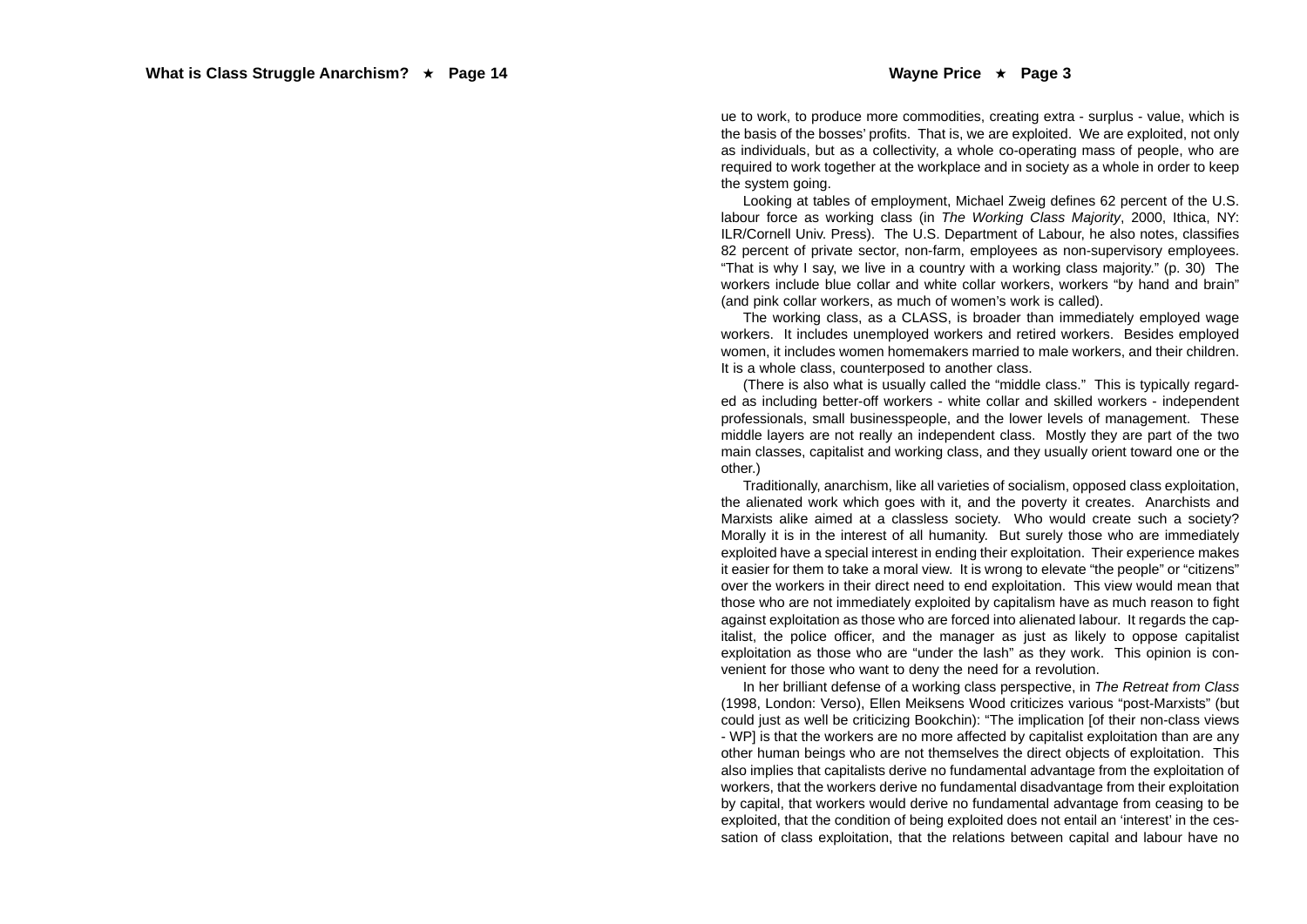ue to work, to produce more commodities, creating extra - surplus - value, which is the basis of the bosses' profits. That is, we are exploited. We are exploited, not only as individuals, but as a collectivity, a whole co-operating mass of people, who are required to work together at the workplace and in society as a whole in order to keep the system going.

Looking at tables of employment, Michael Zweig defines 62 percent of the U.S. labour force as working class (in *The Working Class Majority*, 2000, Ithica, NY: ILR/Cornell Univ. Press). The U.S. Department of Labour, he also notes, classifies 82 percent of private sector, non-farm, employees as non-supervisory employees. "That is why I say, we live in a country with a working class majority." (p. 30) The workers include blue collar and white collar workers, workers "by hand and brain" (and pink collar workers, as much of women's work is called).

The working class, as a CLASS, is broader than immediately employed wage workers. It includes unemployed workers and retired workers. Besides employed women, it includes women homemakers married to male workers, and their children. It is a whole class, counterposed to another class.

(There is also what is usually called the "middle class." This is typically regarded as including better-off workers - white collar and skilled workers - independent professionals, small businesspeople, and the lower levels of management. These middle layers are not really an independent class. Mostly they are part of the two main classes, capitalist and working class, and they usually orient toward one or the other.)

Traditionally, anarchism, like all varieties of socialism, opposed class exploitation, the alienated work which goes with it, and the poverty it creates. Anarchists and Marxists alike aimed at a classless society. Who would create such a society? Morally it is in the interest of all humanity. But surely those who are immediately exploited have a special interest in ending their exploitation. Their experience makes it easier for them to take a moral view. It is wrong to elevate "the people" or "citizens" over the workers in their direct need to end exploitation. This view would mean that those who are not immediately exploited by capitalism have as much reason to fight against exploitation as those who are forced into alienated labour. It regards the capitalist, the police officer, and the manager as just as likely to oppose capitalist exploitation as those who are "under the lash" as they work. This opinion is convenient for those who want to deny the need for a revolution.

In her brilliant defense of a working class perspective, in *The Retreat from Class* (1998, London: Verso), Ellen Meiksens Wood criticizes various "post-Marxists" (but could just as well be criticizing Bookchin): "The implication [of their non-class views - WP] is that the workers are no more affected by capitalist exploitation than are any other human beings who are not themselves the direct objects of exploitation. This also implies that capitalists derive no fundamental advantage from the exploitation of workers, that the workers derive no fundamental disadvantage from their exploitation by capital, that workers would derive no fundamental advantage from ceasing to be exploited, that the condition of being exploited does not entail an 'interest' in the cessation of class exploitation, that the relations between capital and labour have no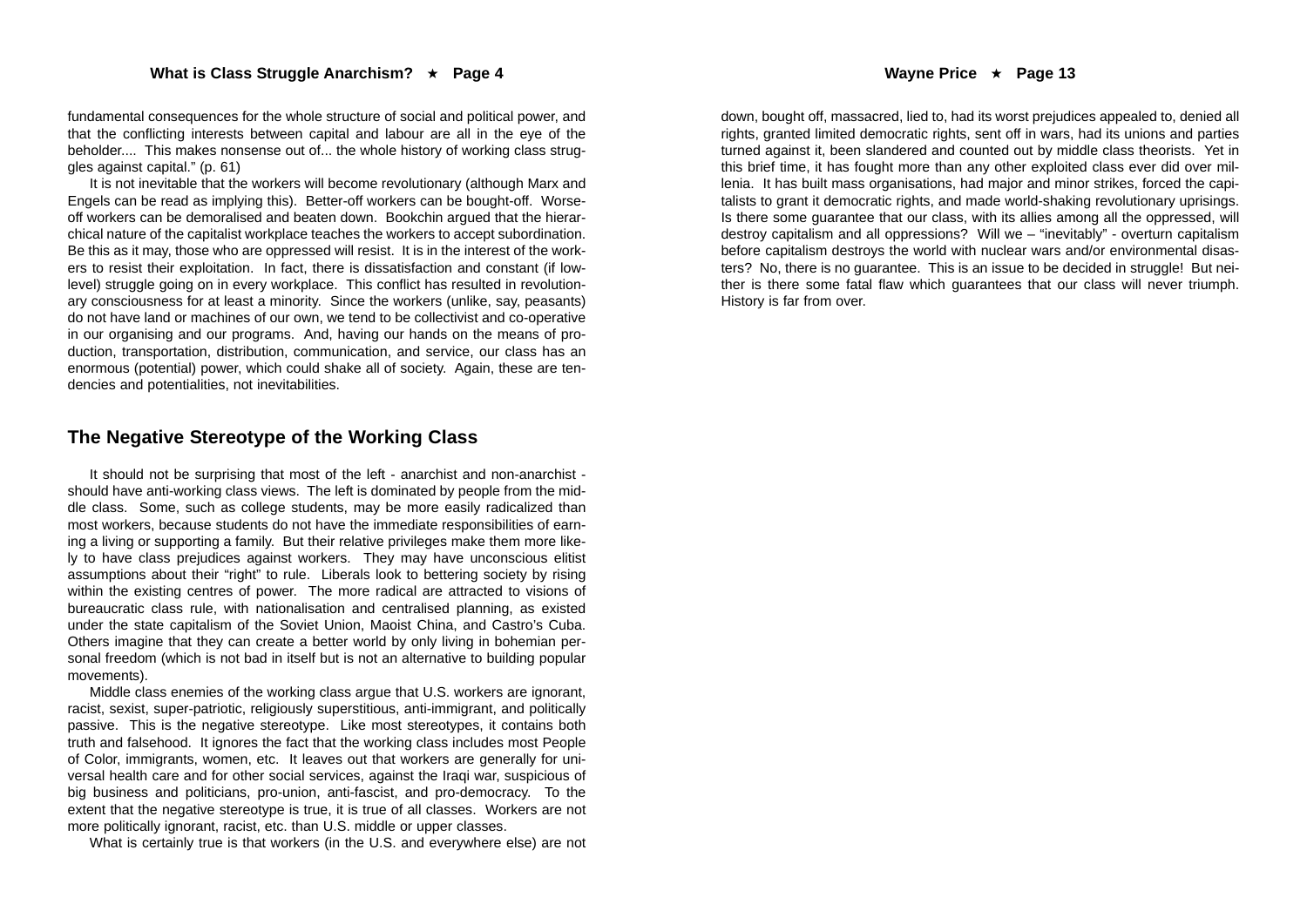fundamental consequences for the whole structure of social and political power, and that the conflicting interests between capital and labour are all in the eye of the beholder.... This makes nonsense out of... the whole history of working class struggles against capital." (p. 61)

It is not inevitable that the workers will become revolutionary (although Marx and Engels can be read as implying this). Better-off workers can be bought-off. Worseoff workers can be demoralised and beaten down. Bookchin argued that the hierarchical nature of the capitalist workplace teaches the workers to accept subordination. Be this as it may, those who are oppressed will resist. It is in the interest of the workers to resist their exploitation. In fact, there is dissatisfaction and constant (if lowlevel) struggle going on in every workplace. This conflict has resulted in revolutionary consciousness for at least a minority. Since the workers (unlike, say, peasants) do not have land or machines of our own, we tend to be collectivist and co-operative in our organising and our programs. And, having our hands on the means of production, transportation, distribution, communication, and service, our class has an enormous (potential) power, which could shake all of society. Again, these are tendencies and potentialities, not inevitabilities.

#### **The Negative Stereotype of the Working Class**

It should not be surprising that most of the left - anarchist and non-anarchist should have anti-working class views. The left is dominated by people from the middle class. Some, such as college students, may be more easily radicalized than most workers, because students do not have the immediate responsibilities of earning a living or supporting a family. But their relative privileges make them more likely to have class prejudices against workers. They may have unconscious elitist assumptions about their "right" to rule. Liberals look to bettering society by rising within the existing centres of power. The more radical are attracted to visions of bureaucratic class rule, with nationalisation and centralised planning, as existed under the state capitalism of the Soviet Union, Maoist China, and Castro's Cuba. Others imagine that they can create a better world by only living in bohemian personal freedom (which is not bad in itself but is not an alternative to building popular movements).

Middle class enemies of the working class argue that U.S. workers are ignorant, racist, sexist, super-patriotic, religiously superstitious, anti-immigrant, and politically passive. This is the negative stereotype. Like most stereotypes, it contains both truth and falsehood. It ignores the fact that the working class includes most People of Color, immigrants, women, etc. It leaves out that workers are generally for universal health care and for other social services, against the Iraqi war, suspicious of big business and politicians, pro-union, anti-fascist, and pro-democracy. To the extent that the negative stereotype is true, it is true of all classes. Workers are not more politically ignorant, racist, etc. than U.S. middle or upper classes.

What is certainly true is that workers (in the U.S. and everywhere else) are not

down, bought off, massacred, lied to, had its worst prejudices appealed to, denied all rights, granted limited democratic rights, sent off in wars, had its unions and parties turned against it, been slandered and counted out by middle class theorists. Yet in this brief time, it has fought more than any other exploited class ever did over millenia. It has built mass organisations, had major and minor strikes, forced the capitalists to grant it democratic rights, and made world-shaking revolutionary uprisings. Is there some guarantee that our class, with its allies among all the oppressed, will destroy capitalism and all oppressions? Will we – "inevitably" - overturn capitalism before capitalism destroys the world with nuclear wars and/or environmental disasters? No, there is no guarantee. This is an issue to be decided in struggle! But neither is there some fatal flaw which guarantees that our class will never triumph. History is far from over.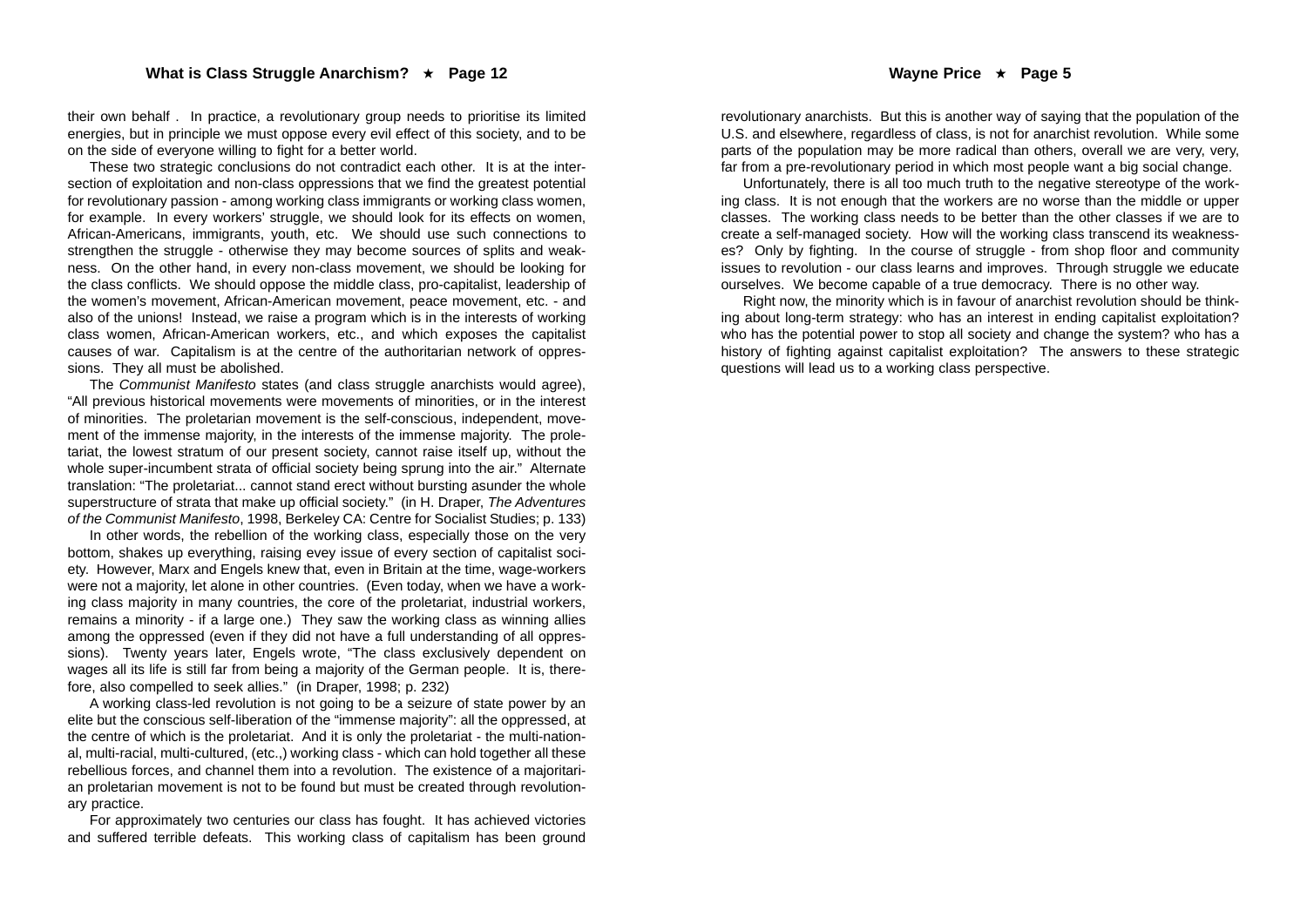their own behalf . In practice, a revolutionary group needs to prioritise its limited energies, but in principle we must oppose every evil effect of this society, and to be on the side of everyone willing to fight for a better world.

These two strategic conclusions do not contradict each other. It is at the intersection of exploitation and non-class oppressions that we find the greatest potential for revolutionary passion - among working class immigrants or working class women, for example. In every workers' struggle, we should look for its effects on women, African-Americans, immigrants, youth, etc. We should use such connections to strengthen the struggle - otherwise they may become sources of splits and weakness. On the other hand, in every non-class movement, we should be looking for the class conflicts. We should oppose the middle class, pro-capitalist, leadership of the women's movement, African-American movement, peace movement, etc. - and also of the unions! Instead, we raise a program which is in the interests of working class women, African-American workers, etc., and which exposes the capitalist causes of war. Capitalism is at the centre of the authoritarian network of oppressions. They all must be abolished.

The *Communist Manifesto* states (and class struggle anarchists would agree), "All previous historical movements were movements of minorities, or in the interest of minorities. The proletarian movement is the self-conscious, independent, movement of the immense majority, in the interests of the immense majority. The proletariat, the lowest stratum of our present society, cannot raise itself up, without the whole super-incumbent strata of official society being sprung into the air." Alternate translation: "The proletariat... cannot stand erect without bursting asunder the whole superstructure of strata that make up official society." (in H. Draper, *The Adventures of the Communist Manifesto*, 1998, Berkeley CA: Centre for Socialist Studies; p. 133)

In other words, the rebellion of the working class, especially those on the very bottom, shakes up everything, raising evey issue of every section of capitalist society. However, Marx and Engels knew that, even in Britain at the time, wage-workers were not a majority, let alone in other countries. (Even today, when we have a working class majority in many countries, the core of the proletariat, industrial workers, remains a minority - if a large one.) They saw the working class as winning allies among the oppressed (even if they did not have a full understanding of all oppressions). Twenty years later, Engels wrote, "The class exclusively dependent on wages all its life is still far from being a majority of the German people. It is, therefore, also compelled to seek allies." (in Draper, 1998; p. 232)

A working class-led revolution is not going to be a seizure of state power by an elite but the conscious self-liberation of the "immense majority": all the oppressed, at the centre of which is the proletariat. And it is only the proletariat - the multi-national, multi-racial, multi-cultured, (etc.,) working class - which can hold together all these rebellious forces, and channel them into a revolution. The existence of a majoritarian proletarian movement is not to be found but must be created through revolutionary practice.

For approximately two centuries our class has fought. It has achieved victories and suffered terrible defeats. This working class of capitalism has been ground

revolutionary anarchists. But this is another way of saying that the population of the U.S. and elsewhere, regardless of class, is not for anarchist revolution. While some parts of the population may be more radical than others, overall we are very, very, far from a pre-revolutionary period in which most people want a big social change.

Unfortunately, there is all too much truth to the negative stereotype of the working class. It is not enough that the workers are no worse than the middle or upper classes. The working class needs to be better than the other classes if we are to create a self-managed society. How will the working class transcend its weaknesses? Only by fighting. In the course of struggle - from shop floor and community issues to revolution - our class learns and improves. Through struggle we educate ourselves. We become capable of a true democracy. There is no other way.

Right now, the minority which is in favour of anarchist revolution should be thinking about long-term strategy: who has an interest in ending capitalist exploitation? who has the potential power to stop all society and change the system? who has a history of fighting against capitalist exploitation? The answers to these strategic questions will lead us to a working class perspective.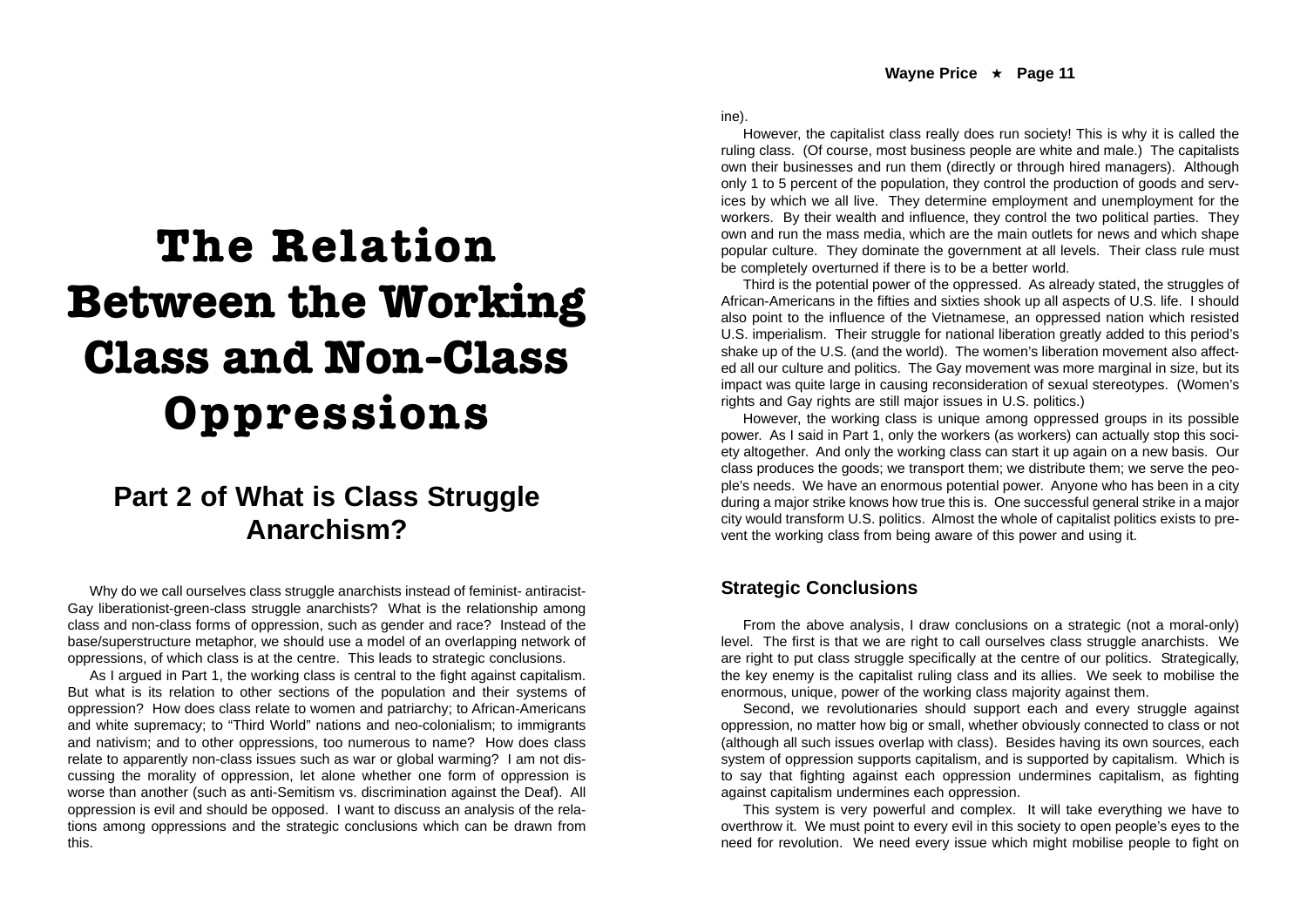# **The Relation Between the Working Class and Non-Class Oppressions**

### **Part 2 of What is Class Struggle Anarchism?**

Why do we call ourselves class struggle anarchists instead of feminist- antiracist-Gay liberationist-green-class struggle anarchists? What is the relationship among class and non-class forms of oppression, such as gender and race? Instead of the base/superstructure metaphor, we should use a model of an overlapping network of oppressions, of which class is at the centre. This leads to strategic conclusions.

As I argued in Part 1, the working class is central to the fight against capitalism. But what is its relation to other sections of the population and their systems of oppression? How does class relate to women and patriarchy; to African-Americans and white supremacy; to "Third World" nations and neo-colonialism; to immigrants and nativism; and to other oppressions, too numerous to name? How does class relate to apparently non-class issues such as war or global warming? I am not discussing the morality of oppression, let alone whether one form of oppression is worse than another (such as anti-Semitism vs. discrimination against the Deaf). All oppression is evil and should be opposed. I want to discuss an analysis of the relations among oppressions and the strategic conclusions which can be drawn from this.

ine).

However, the capitalist class really does run society! This is why it is called the ruling class. (Of course, most business people are white and male.) The capitalists own their businesses and run them (directly or through hired managers). Although only 1 to 5 percent of the population, they control the production of goods and services by which we all live. They determine employment and unemployment for the workers. By their wealth and influence, they control the two political parties. They own and run the mass media, which are the main outlets for news and which shape popular culture. They dominate the government at all levels. Their class rule must be completely overturned if there is to be a better world.

Third is the potential power of the oppressed. As already stated, the struggles of African-Americans in the fifties and sixties shook up all aspects of U.S. life. I should also point to the influence of the Vietnamese, an oppressed nation which resisted U.S. imperialism. Their struggle for national liberation greatly added to this period's shake up of the U.S. (and the world). The women's liberation movement also affected all our culture and politics. The Gay movement was more marginal in size, but its impact was quite large in causing reconsideration of sexual stereotypes. (Women's rights and Gay rights are still major issues in U.S. politics.)

However, the working class is unique among oppressed groups in its possible power. As I said in Part 1, only the workers (as workers) can actually stop this society altogether. And only the working class can start it up again on a new basis. Our class produces the goods; we transport them; we distribute them; we serve the people's needs. We have an enormous potential power. Anyone who has been in a city during a major strike knows how true this is. One successful general strike in a major city would transform U.S. politics. Almost the whole of capitalist politics exists to prevent the working class from being aware of this power and using it.

#### **Strategic Conclusions**

From the above analysis, I draw conclusions on a strategic (not a moral-only) level. The first is that we are right to call ourselves class struggle anarchists. We are right to put class struggle specifically at the centre of our politics. Strategically, the key enemy is the capitalist ruling class and its allies. We seek to mobilise the enormous, unique, power of the working class majority against them.

Second, we revolutionaries should support each and every struggle against oppression, no matter how big or small, whether obviously connected to class or not (although all such issues overlap with class). Besides having its own sources, each system of oppression supports capitalism, and is supported by capitalism. Which is to say that fighting against each oppression undermines capitalism, as fighting against capitalism undermines each oppression.

This system is very powerful and complex. It will take everything we have to overthrow it. We must point to every evil in this society to open people's eyes to the need for revolution. We need every issue which might mobilise people to fight on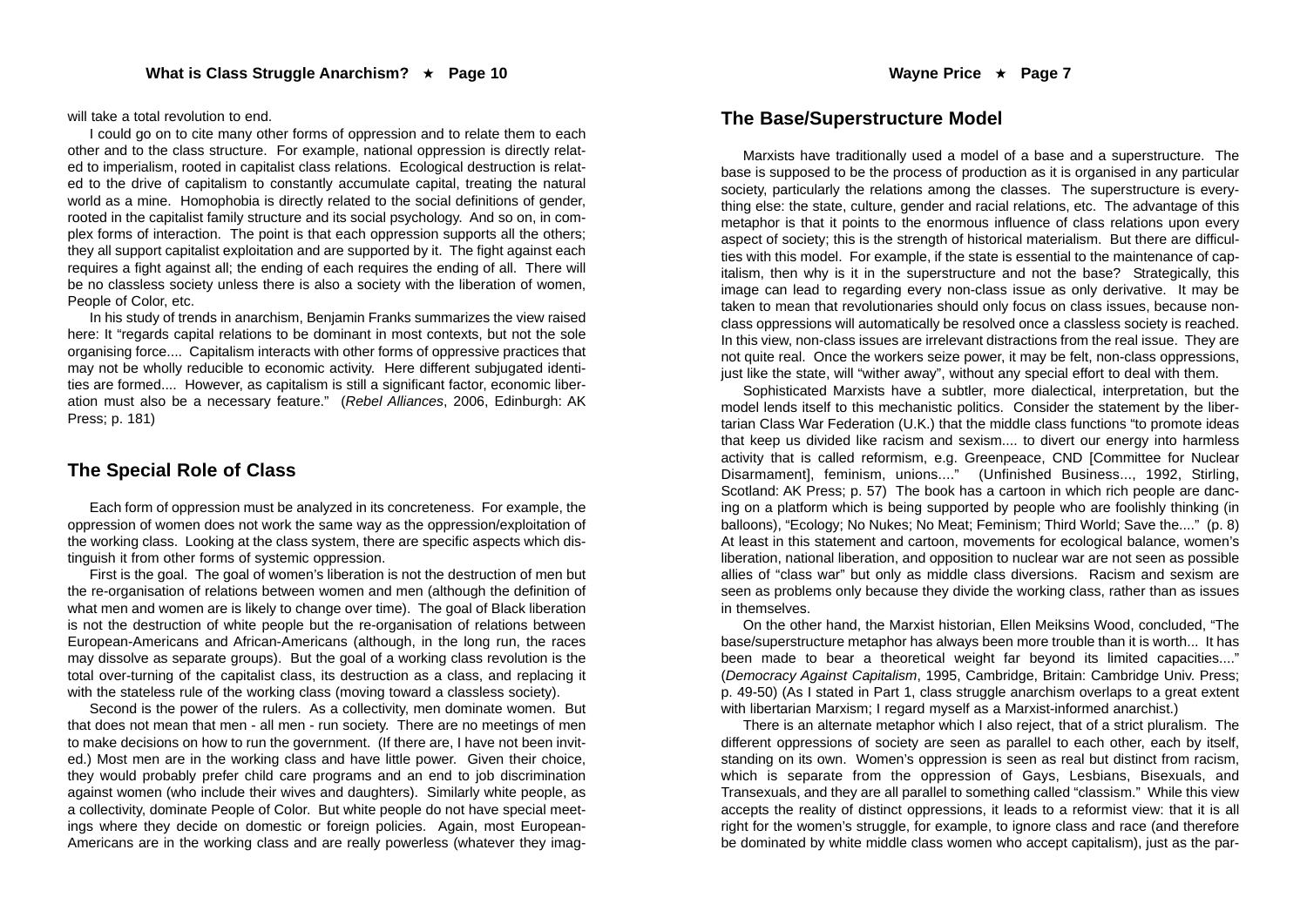will take a total revolution to end.

I could go on to cite many other forms of oppression and to relate them to each other and to the class structure. For example, national oppression is directly related to imperialism, rooted in capitalist class relations. Ecological destruction is related to the drive of capitalism to constantly accumulate capital, treating the natural world as a mine. Homophobia is directly related to the social definitions of gender, rooted in the capitalist family structure and its social psychology. And so on, in complex forms of interaction. The point is that each oppression supports all the others; they all support capitalist exploitation and are supported by it. The fight against each requires a fight against all; the ending of each requires the ending of all. There will be no classless society unless there is also a society with the liberation of women, People of Color, etc.

In his study of trends in anarchism, Benjamin Franks summarizes the view raised here: It "regards capital relations to be dominant in most contexts, but not the sole organising force.... Capitalism interacts with other forms of oppressive practices that may not be wholly reducible to economic activity. Here different subjugated identities are formed.... However, as capitalism is still a significant factor, economic liberation must also be a necessary feature." (*Rebel Alliances*, 2006, Edinburgh: AK Press; p. 181)

#### **The Special Role of Class**

Each form of oppression must be analyzed in its concreteness. For example, the oppression of women does not work the same way as the oppression/exploitation of the working class. Looking at the class system, there are specific aspects which distinguish it from other forms of systemic oppression.

First is the goal. The goal of women's liberation is not the destruction of men but the re-organisation of relations between women and men (although the definition of what men and women are is likely to change over time). The goal of Black liberation is not the destruction of white people but the re-organisation of relations between European-Americans and African-Americans (although, in the long run, the races may dissolve as separate groups). But the goal of a working class revolution is the total over-turning of the capitalist class, its destruction as a class, and replacing it with the stateless rule of the working class (moving toward a classless society).

Second is the power of the rulers. As a collectivity, men dominate women. But that does not mean that men - all men - run society. There are no meetings of men to make decisions on how to run the government. (If there are, I have not been invited.) Most men are in the working class and have little power. Given their choice, they would probably prefer child care programs and an end to job discrimination against women (who include their wives and daughters). Similarly white people, as a collectivity, dominate People of Color. But white people do not have special meetings where they decide on domestic or foreign policies. Again, most European-Americans are in the working class and are really powerless (whatever they imag-

#### **The Base/Superstructure Model**

Marxists have traditionally used a model of a base and a superstructure. The base is supposed to be the process of production as it is organised in any particular society, particularly the relations among the classes. The superstructure is every thing else: the state, culture, gender and racial relations, etc. The advantage of this metaphor is that it points to the enormous influence of class relations upon every aspect of society; this is the strength of historical materialism. But there are difficul ties with this model. For example, if the state is essential to the maintenance of cap italism, then why is it in the superstructure and not the base? Strategically, this image can lead to regarding every non-class issue as only derivative. It may be taken to mean that revolutionaries should only focus on class issues, because non class oppressions will automatically be resolved once a classless society is reached. In this view, non-class issues are irrelevant distractions from the real issue. They are not quite real. Once the workers seize power, it may be felt, non-class oppressions, just like the state, will "wither away", without any special effort to deal with them. Sophisticated Marxists have a subtler, more dialectical, interpretation, but the

model lends itself to this mechanistic politics. Consider the statement by the liber tarian Class War Federation (U.K.) that the middle class functions "to promote ideas that keep us divided like racism and sexism.... to divert our energy into harmless activity that is called reformism, e.g. Greenpeace, CND [Committee for Nuclear Disarmament], feminism, unions...." (Unfinished Business..., 1992, Stirling, Scotland: AK Press; p. 57) The book has a cartoon in which rich people are dancing on a platform which is being supported by people who are foolishly thinking (in balloons), "Ecology; No Nukes; No Meat; Feminism; Third World; Save the...." (p. 8) At least in this statement and cartoon, movements for ecological balance, women's liberation, national liberation, and opposition to nuclear war are not seen as possible allies of "class war" but only as middle class diversions. Racism and sexism are seen as problems only because they divide the working class, rather than as issues in themselves.

On the other hand, the Marxist historian, Ellen Meiksins Wood, concluded, "The base/superstructure metaphor has always been more trouble than it is worth... It has been made to bear a theoretical weight far beyond its limited capacities...." (*Democracy Against Capitalism*, 1995, Cambridge, Britain: Cambridge Univ. Press; p. 49-50) (As I stated in Part 1, class struggle anarchism overlaps to a great extent with libertarian Marxism; I regard myself as a Marxist-informed anarchist.)

There is an alternate metaphor which I also reject, that of a strict pluralism. The different oppressions of society are seen as parallel to each other, each by itself, standing on its own. Women's oppression is seen as real but distinct from racism, which is separate from the oppression of Gays, Lesbians, Bisexuals, and Transexuals, and they are all parallel to something called "classism." While this view accepts the reality of distinct oppressions, it leads to a reformist view: that it is all right for the women's struggle, for example, to ignore class and race (and therefore be dominated by white middle class women who accept capitalism), just as the par